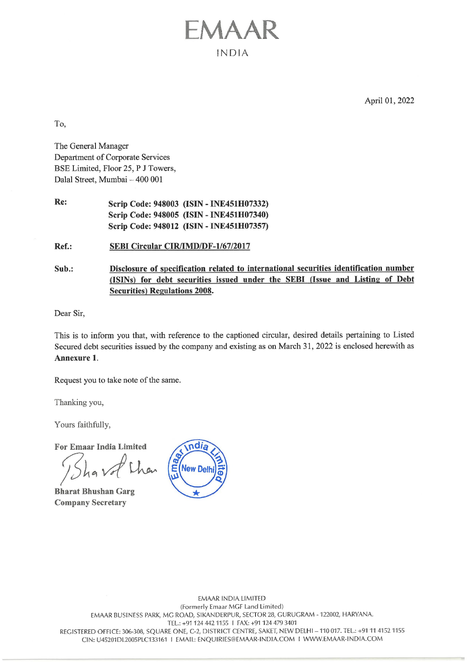April 01, 2022

To,

The General Manager Department of Corporate Services BSE Limited, Floor 25, P J Towers, Dalal Street, Mumbai ~ 400 001

Re: Scrip Code: 948003 (ISIN - INE451H07332) Scrip Code: 948005 (ISIN - INE451H07340) Scrip Code: 948012 (ISIN - INE451H07357)

Ref.: SEBI Circular CIR/IMD/DF-1/67/2017

Sub.: Disclosure of specification related to international securities identification number (ISINs) for debt securities issued under the SEBI (Issue \_and\_ Listing of Debt Securities) Regulations 2008.

EMAAR

INDIA

Dear Sir,

This is to inform you that, with reference to the captioned circular, desired details pertaining to Listed Secured debt securities issued by the company and existing as on March 31, 2022 is enclosed herewith as Annexure 1.

Request you to take note of the same.

Thanking you,

Yours faithfully,

For Emaar India Limited

Bharat Bhushan Garg Company Secretary